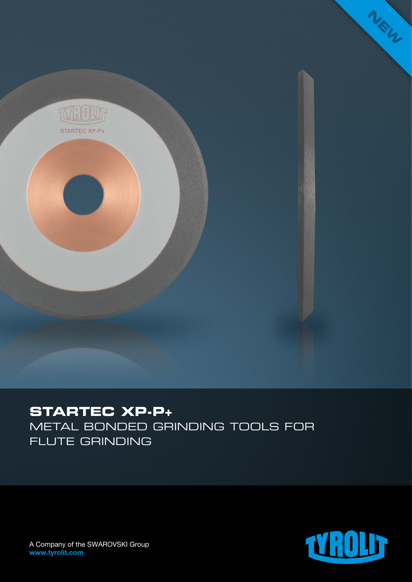

## **STARTEC XP-P+**

Metal bonded grinding tools for flute grinding



A Company of the SWAROVSKI Group www.tyrolit.com